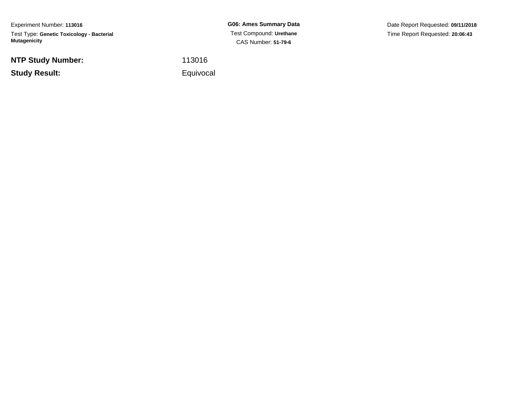Experiment Number: **113016**Test Type: **Genetic Toxicology - Bacterial Mutagenicity**

**NTP Study Number:**

**Study Result:**

**G06: Ames Summary Data** Test Compound: **Urethane**CAS Number: **51-79-6**

Date Report Requested: **09/11/2018**Time Report Requested: **20:06:43**

<sup>113016</sup>

Equivocal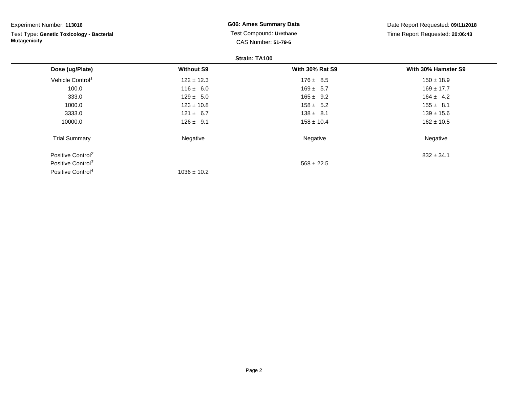| Experiment Number: 113016                 | <b>G06: Ames Summary Data</b><br>Test Compound: Urethane |                        | Date Report Requested: 09/11/2018<br>Time Report Requested: 20:06:43 |  |
|-------------------------------------------|----------------------------------------------------------|------------------------|----------------------------------------------------------------------|--|
| Test Type: Genetic Toxicology - Bacterial |                                                          |                        |                                                                      |  |
| <b>Mutagenicity</b>                       | <b>CAS Number: 51-79-6</b>                               |                        |                                                                      |  |
|                                           |                                                          | Strain: TA100          |                                                                      |  |
| Dose (ug/Plate)                           | <b>Without S9</b>                                        | <b>With 30% Rat S9</b> | With 30% Hamster S9                                                  |  |
| Vehicle Control <sup>1</sup>              | $122 \pm 12.3$                                           | $176 \pm 8.5$          | $150 \pm 18.9$                                                       |  |
| 100.0                                     | $116 \pm 6.0$                                            | $169 \pm 5.7$          | $169 \pm 17.7$                                                       |  |
| 333.0                                     | $129 \pm 5.0$                                            | $165 \pm 9.2$          | $164 \pm 4.2$                                                        |  |
| 1000.0                                    | $123 \pm 10.8$                                           | $158 \pm 5.2$          | $155 \pm 8.1$                                                        |  |
| 3333.0                                    | $121 \pm 6.7$                                            | $138 \pm 8.1$          | $139 \pm 15.6$                                                       |  |
| 10000.0                                   | $126 \pm 9.1$                                            | $158 \pm 10.4$         | $162 \pm 10.5$                                                       |  |
| <b>Trial Summary</b>                      | Negative                                                 | Negative               | Negative                                                             |  |
| Positive Control <sup>2</sup>             |                                                          |                        | $832 \pm 34.1$                                                       |  |
| Positive Control <sup>3</sup>             |                                                          | $568 \pm 22.5$         |                                                                      |  |

 $1036 \pm 10.2$ 

Positive Control<sup>4</sup>

Page 2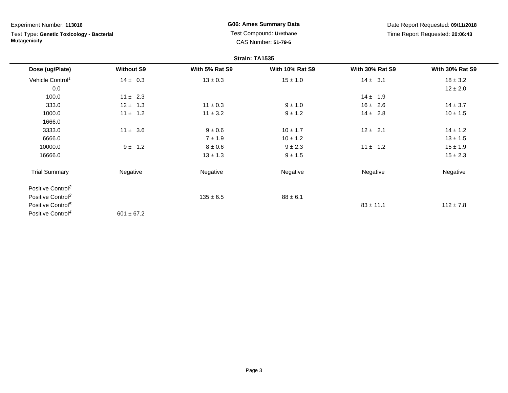Experiment Number: **113016**

Test Type: **Genetic Toxicology - Bacterial Mutagenicity**

**G06: Ames Summary Data** Test Compound: **Urethane**CAS Number: **51-79-6**

Date Report Requested: **09/11/2018**Time Report Requested: **20:06:43**

| Strain: TA1535                |                   |                |                        |                        |                        |
|-------------------------------|-------------------|----------------|------------------------|------------------------|------------------------|
| Dose (ug/Plate)               | <b>Without S9</b> | With 5% Rat S9 | <b>With 10% Rat S9</b> | <b>With 30% Rat S9</b> | <b>With 30% Rat S9</b> |
| Vehicle Control <sup>1</sup>  | $14 \pm 0.3$      | $13 \pm 0.3$   | $15 \pm 1.0$           | $14 \pm 3.1$           | $18 \pm 3.2$           |
| 0.0                           |                   |                |                        |                        | $12 \pm 2.0$           |
| 100.0                         | $11 \pm 2.3$      |                |                        | $14 \pm 1.9$           |                        |
| 333.0                         | $12 \pm 1.3$      | $11 \pm 0.3$   | $9 \pm 1.0$            | $16 \pm 2.6$           | $14 \pm 3.7$           |
| 1000.0                        | $11 \pm 1.2$      | $11 \pm 3.2$   | $9 \pm 1.2$            | $14 \pm 2.8$           | $10 \pm 1.5$           |
| 1666.0                        |                   |                |                        |                        |                        |
| 3333.0                        | $11 \pm 3.6$      | $9 \pm 0.6$    | $10 \pm 1.7$           | $12 \pm 2.1$           | $14 \pm 1.2$           |
| 6666.0                        |                   | 7 ± 1.9        | $10 \pm 1.2$           |                        | $13 \pm 1.5$           |
| 10000.0                       | $9 \pm 1.2$       | $8 \pm 0.6$    | $9 \pm 2.3$            | $11 \pm 1.2$           | $15 \pm 1.9$           |
| 16666.0                       |                   | $13 \pm 1.3$   | $9 \pm 1.5$            |                        | $15 \pm 2.3$           |
| <b>Trial Summary</b>          | Negative          | Negative       | Negative               | Negative               | Negative               |
| Positive Control <sup>2</sup> |                   |                |                        |                        |                        |
| Positive Control <sup>3</sup> |                   | $135 \pm 6.5$  | $88 \pm 6.1$           |                        |                        |
| Positive Control <sup>5</sup> |                   |                |                        | $83 \pm 11.1$          | $112 \pm 7.8$          |
| Positive Control <sup>4</sup> | $601 \pm 67.2$    |                |                        |                        |                        |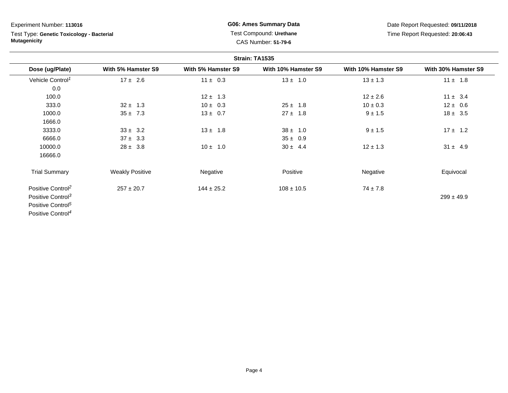Experiment Number: **113016**

Test Type: **Genetic Toxicology - Bacterial Mutagenicity**

**G06: Ames Summary Data** Test Compound: **Urethane**CAS Number: **51-79-6**

Date Report Requested: **09/11/2018**Time Report Requested: **20:06:43**

| Strain: TA1535                |                        |                    |                     |                     |                     |
|-------------------------------|------------------------|--------------------|---------------------|---------------------|---------------------|
| Dose (ug/Plate)               | With 5% Hamster S9     | With 5% Hamster S9 | With 10% Hamster S9 | With 10% Hamster S9 | With 30% Hamster S9 |
| Vehicle Control <sup>1</sup>  | $17 \pm 2.6$           | $11 \pm 0.3$       | $13 \pm 1.0$        | $13 \pm 1.3$        | $11 \pm 1.8$        |
| 0.0                           |                        |                    |                     |                     |                     |
| 100.0                         |                        | $12 \pm 1.3$       |                     | $12 \pm 2.6$        | $11 \pm 3.4$        |
| 333.0                         | $32 \pm 1.3$           | $10 \pm 0.3$       | $25 \pm 1.8$        | $10 \pm 0.3$        | $12 \pm 0.6$        |
| 1000.0                        | $35 \pm 7.3$           | $13 \pm 0.7$       | $27 \pm 1.8$        | $9 \pm 1.5$         | $18 \pm 3.5$        |
| 1666.0                        |                        |                    |                     |                     |                     |
| 3333.0                        | $33 \pm 3.2$           | $13 \pm 1.8$       | $38 \pm 1.0$        | $9 \pm 1.5$         | $17 \pm 1.2$        |
| 6666.0                        | $37 \pm 3.3$           |                    | $35 \pm 0.9$        |                     |                     |
| 10000.0                       | $28 \pm 3.8$           | $10 \pm 1.0$       | $30 \pm 4.4$        | $12 \pm 1.3$        | $31 \pm 4.9$        |
| 16666.0                       |                        |                    |                     |                     |                     |
| <b>Trial Summary</b>          | <b>Weakly Positive</b> | Negative           | Positive            | Negative            | Equivocal           |
| Positive Control <sup>2</sup> | $257 \pm 20.7$         | $144 \pm 25.2$     | $108 \pm 10.5$      | $74 \pm 7.8$        |                     |
| Positive Control <sup>3</sup> |                        |                    |                     |                     | $299 \pm 49.9$      |
| Positive Control <sup>5</sup> |                        |                    |                     |                     |                     |
| Positive Control <sup>4</sup> |                        |                    |                     |                     |                     |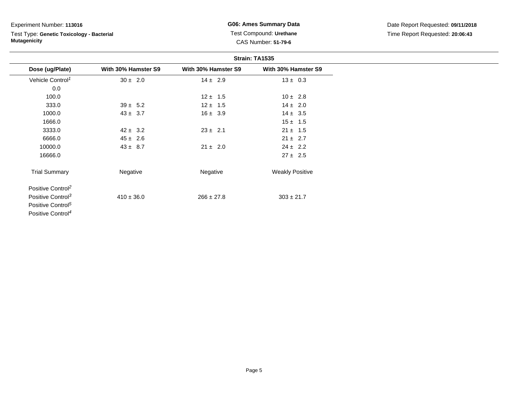#### Experiment Number: **113016**

# Test Type: **Genetic Toxicology - Bacterial Mutagenicity**

**G06: Ames Summary Data** Test Compound: **Urethane**CAS Number: **51-79-6**

Date Report Requested: **09/11/2018**Time Report Requested: **20:06:43**

| Strain: TA1535                |                     |                     |                        |
|-------------------------------|---------------------|---------------------|------------------------|
| Dose (ug/Plate)               | With 30% Hamster S9 | With 30% Hamster S9 | With 30% Hamster S9    |
| Vehicle Control <sup>1</sup>  | $30 \pm 2.0$        | $14 \pm 2.9$        | $13 \pm 0.3$           |
| 0.0                           |                     |                     |                        |
| 100.0                         |                     | $12 \pm 1.5$        | $10 \pm 2.8$           |
| 333.0                         | $39 \pm 5.2$        | $12 \pm 1.5$        | $14 \pm 2.0$           |
| 1000.0                        | $43 \pm 3.7$        | $16 \pm 3.9$        | $14 \pm 3.5$           |
| 1666.0                        |                     |                     | $15 \pm 1.5$           |
| 3333.0                        | $42 \pm 3.2$        | $23 \pm 2.1$        | $21 \pm 1.5$           |
| 6666.0                        | $45 \pm 2.6$        |                     | $21 \pm 2.7$           |
| 10000.0                       | $43 \pm 8.7$        | $21 \pm 2.0$        | $24 \pm 2.2$           |
| 16666.0                       |                     |                     | $27 \pm 2.5$           |
| <b>Trial Summary</b>          | Negative            | Negative            | <b>Weakly Positive</b> |
| Positive Control <sup>2</sup> |                     |                     |                        |
| Positive Control <sup>3</sup> | $410 \pm 36.0$      | $266 \pm 27.8$      | $303 \pm 21.7$         |
| Positive Control <sup>5</sup> |                     |                     |                        |
| Positive Control <sup>4</sup> |                     |                     |                        |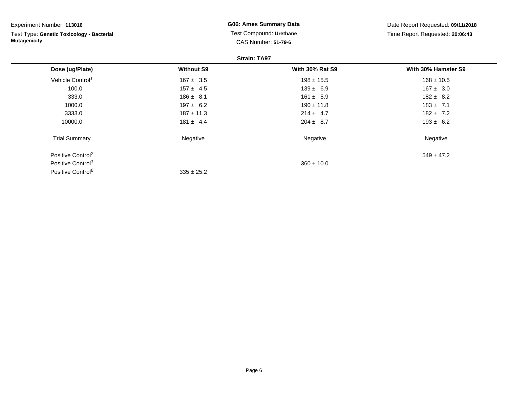| Experiment Number: 113016                 | <b>G06: Ames Summary Data</b> | Date Report Requested: 09/11/2018<br>Time Report Requested: 20:06:43 |                     |  |
|-------------------------------------------|-------------------------------|----------------------------------------------------------------------|---------------------|--|
| Test Type: Genetic Toxicology - Bacterial | Test Compound: Urethane       |                                                                      |                     |  |
| <b>Mutagenicity</b>                       |                               | <b>CAS Number: 51-79-6</b>                                           |                     |  |
|                                           |                               | <b>Strain: TA97</b>                                                  |                     |  |
| Dose (ug/Plate)                           | <b>Without S9</b>             | <b>With 30% Rat S9</b>                                               | With 30% Hamster S9 |  |
| Vehicle Control <sup>1</sup>              | $167 \pm 3.5$                 | $198 \pm 15.5$                                                       | $168 \pm 10.5$      |  |
| 100.0                                     | $157 \pm 4.5$                 | $139 \pm 6.9$                                                        | $167 \pm 3.0$       |  |
| 333.0                                     | $186 \pm 8.1$                 | $161 \pm 5.9$                                                        | $182 \pm 8.2$       |  |
| 1000.0                                    | $197 \pm 6.2$                 | $190 \pm 11.8$                                                       | $183 \pm 7.1$       |  |
| 3333.0                                    | $187 \pm 11.3$                | $214 \pm 4.7$                                                        | $182 \pm 7.2$       |  |
| 10000.0                                   | $181 \pm 4.4$                 | $204 \pm 8.7$                                                        | $193 \pm 6.2$       |  |
| <b>Trial Summary</b>                      | Negative                      | Negative                                                             | Negative            |  |
| Positive Control <sup>2</sup>             |                               |                                                                      | $549 \pm 47.2$      |  |
| Positive Control <sup>3</sup>             |                               | $360 \pm 10.0$                                                       |                     |  |
| Positive Control <sup>6</sup>             | $335 \pm 25.2$                |                                                                      |                     |  |

Page 6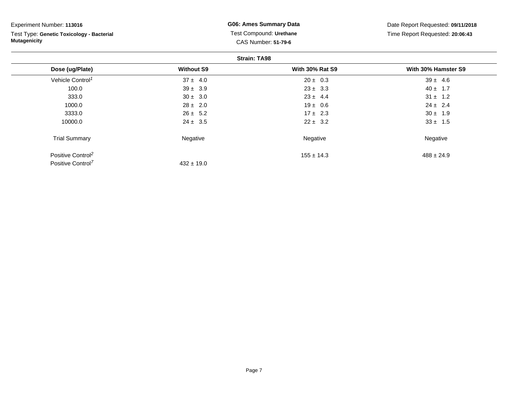| Experiment Number: 113016                                        | <b>G06: Ames Summary Data</b>                         |                        | Date Report Requested: 09/11/2018 |  |
|------------------------------------------------------------------|-------------------------------------------------------|------------------------|-----------------------------------|--|
| Test Type: Genetic Toxicology - Bacterial<br><b>Mutagenicity</b> | Test Compound: Urethane<br><b>CAS Number: 51-79-6</b> |                        | Time Report Requested: 20:06:43   |  |
|                                                                  |                                                       |                        |                                   |  |
| Dose (ug/Plate)                                                  | <b>Without S9</b>                                     | <b>With 30% Rat S9</b> | With 30% Hamster S9               |  |
| Vehicle Control <sup>1</sup>                                     | $37 \pm 4.0$                                          | $20 \pm 0.3$           | $39 \pm 4.6$                      |  |
| 100.0                                                            | $39 \pm 3.9$                                          | $23 \pm 3.3$           | $40 \pm 1.7$                      |  |
| 333.0                                                            | $30 \pm 3.0$                                          | $23 \pm 4.4$           | $31 \pm 1.2$                      |  |
| 1000.0                                                           | $28 \pm 2.0$                                          | $19 \pm 0.6$           | $24 \pm 2.4$                      |  |
| 3333.0                                                           | $26 \pm 5.2$                                          | $17 \pm 2.3$           | $30 \pm 1.9$                      |  |
| 10000.0                                                          | $24 \pm 3.5$                                          | $22 \pm 3.2$           | $33 \pm 1.5$                      |  |
| <b>Trial Summary</b>                                             | Negative                                              | Negative               | Negative                          |  |
| Positive Control <sup>2</sup>                                    |                                                       | $155 \pm 14.3$         | $488 \pm 24.9$                    |  |
| Positive Control <sup>7</sup>                                    | $432 \pm 19.0$                                        |                        |                                   |  |

Page 7